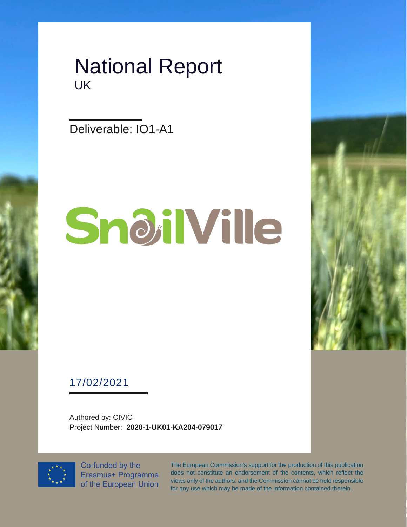# National Report UK

Deliverable: IO1-A1

# SnoilVille

17/02/2021

Authored by: CIVIC Project Number: **2020-1-UK01-KA204-079017**



Co-funded by the Erasmus+ Programme of the European Union

The European Commission's support for the production of this publication does not constitute an endorsement of the contents, which reflect the views only of the authors, and the Commission cannot be held responsible for any use which may be made of the information contained therein.

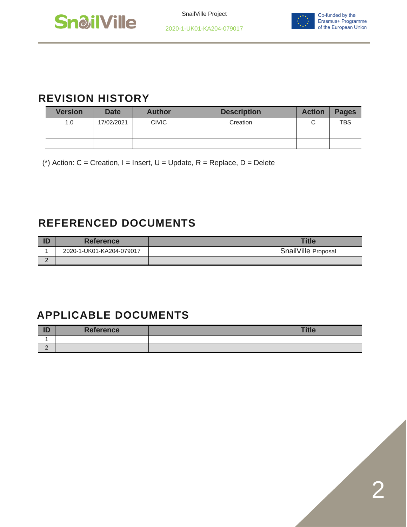



### **REVISION HISTORY**

| <b>Version</b> | <b>Date</b> | <b>Author</b> | <b>Description</b> | <b>Action</b> | <b>Pages</b> |
|----------------|-------------|---------------|--------------------|---------------|--------------|
| 1.0            | 17/02/2021  | <b>CIVIC</b>  | Creation           |               | <b>TBS</b>   |
|                |             |               |                    |               |              |
|                |             |               |                    |               |              |

(\*) Action:  $C =$  Creation, I = Insert, U = Update, R = Replace, D = Delete

### **REFERENCED DOCUMENTS**

|   | <b>Reference</b>         | <b>Title</b>        |
|---|--------------------------|---------------------|
|   | 2020-1-UK01-KA204-079017 | SnailVille Proposal |
| - |                          |                     |

# **APPLICABLE DOCUMENTS**

| ID<br>טו    | <b>Reference</b> | <b>Title</b> |
|-------------|------------------|--------------|
|             |                  |              |
| $\sim$<br>_ |                  |              |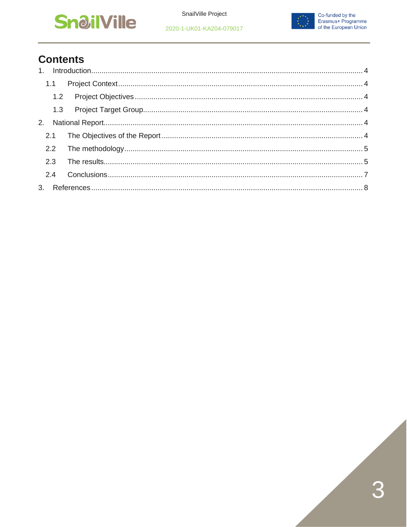



### **Contents**

| 2.3 |  |  |
|-----|--|--|
|     |  |  |
|     |  |  |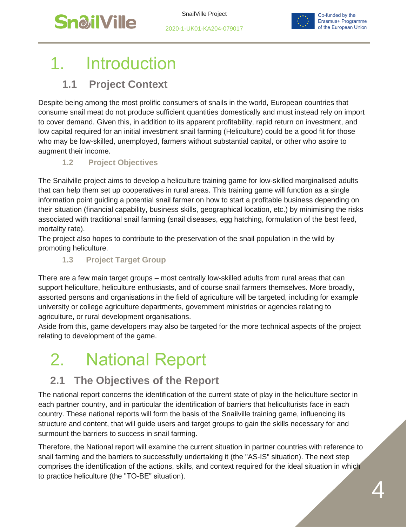



# <span id="page-3-0"></span>**Introduction**

# <span id="page-3-1"></span>**1.1 Project Context**

Despite being among the most prolific consumers of snails in the world, European countries that consume snail meat do not produce sufficient quantities domestically and must instead rely on import to cover demand. Given this, in addition to its apparent profitability, rapid return on investment, and low capital required for an initial investment snail farming (Heliculture) could be a good fit for those who may be low-skilled, unemployed, farmers without substantial capital, or other who aspire to augment their income.

### <span id="page-3-2"></span>**1.2 Project Objectives**

The Snailville project aims to develop a heliculture training game for low-skilled marginalised adults that can help them set up cooperatives in rural areas. This training game will function as a single information point guiding a potential snail farmer on how to start a profitable business depending on their situation (financial capability, business skills, geographical location, etc.) by minimising the risks associated with traditional snail farming (snail diseases, egg hatching, formulation of the best feed, mortality rate).

The project also hopes to contribute to the preservation of the snail population in the wild by promoting heliculture.

### **1.3 Project Target Group**

<span id="page-3-3"></span>There are a few main target groups – most centrally low-skilled adults from rural areas that can support heliculture, heliculture enthusiasts, and of course snail farmers themselves. More broadly, assorted persons and organisations in the field of agriculture will be targeted, including for example university or college agriculture departments, government ministries or agencies relating to agriculture, or rural development organisations.

Aside from this, game developers may also be targeted for the more technical aspects of the project relating to development of the game.

# <span id="page-3-4"></span>2. National Report

# <span id="page-3-5"></span>**2.1 The Objectives of the Report**

The national report concerns the identification of the current state of play in the heliculture sector in each partner country, and in particular the identification of barriers that heliculturists face in each country. These national reports will form the basis of the Snailville training game, influencing its structure and content, that will guide users and target groups to gain the skills necessary for and surmount the barriers to success in snail farming.

Therefore, the National report will examine the current situation in partner countries with reference to snail farming and the barriers to successfully undertaking it (the "AS-IS" situation). The next step comprises the identification of the actions, skills, and context required for the ideal situation in which to practice heliculture (the "ΤΟ-ΒΕ" situation).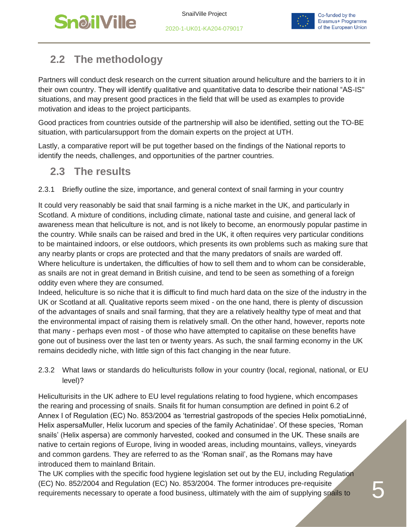

# <span id="page-4-0"></span>**2.2 The methodology**

Partners will conduct desk research on the current situation around heliculture and the barriers to it in their own country. They will identify qualitative and quantitative data to describe their national "AS-IS" situations, and may present good practices in the field that will be used as examples to provide motivation and ideas to the project participants.

Good practices from countries outside of the partnership will also be identified, setting out the TO-BE situation, with particularsupport from the domain experts on the project at UTH.

Lastly, a comparative report will be put together based on the findings of the National reports to identify the needs, challenges, and opportunities of the partner countries.

### <span id="page-4-1"></span>**2.3 The results**

2.3.1 Briefly outline the size, importance, and general context of snail farming in your country

It could very reasonably be said that snail farming is a niche market in the UK, and particularly in Scotland. A mixture of conditions, including climate, national taste and cuisine, and general lack of awareness mean that heliculture is not, and is not likely to become, an enormously popular pastime in the country. While snails can be raised and bred in the UK, it often requires very particular conditions to be maintained indoors, or else outdoors, which presents its own problems such as making sure that any nearby plants or crops are protected and that the many predators of snails are warded off. Where heliculture is undertaken, the difficulties of how to sell them and to whom can be considerable, as snails are not in great demand in British cuisine, and tend to be seen as something of a foreign oddity even where they are consumed.

Indeed, heliculture is so niche that it is difficult to find much hard data on the size of the industry in the UK or Scotland at all. Qualitative reports seem mixed - on the one hand, there is plenty of discussion of the advantages of snails and snail farming, that they are a relatively healthy type of meat and that the environmental impact of raising them is relatively small. On the other hand, however, reports note that many - perhaps even most - of those who have attempted to capitalise on these benefits have gone out of business over the last ten or twenty years. As such, the snail farming economy in the UK remains decidedly niche, with little sign of this fact changing in the near future.

### 2.3.2 What laws or standards do heliculturists follow in your country (local, regional, national, or EU level)?

Heliculturisits in the UK adhere to EU level regulations relating to food hygiene, which encompases the rearing and processing of snails. Snails fit for human consumption are defined in point 6.2 of Annex I of Regulation (EC) No. 853/2004 as 'terrestrial gastropods of the species Helix pomotiaLinné, Helix aspersaMuller, Helix lucorum and species of the family Achatinidae'. Of these species, 'Roman snails' (Helix aspersa) are commonly harvested, cooked and consumed in the UK. These snails are native to certain regions of Europe, living in wooded areas, including mountains, valleys, vineyards and common gardens. They are referred to as the 'Roman snail', as the Romans may have introduced them to mainland Britain.

The UK complies with the specific food hygiene legislation set out by the EU, including Regulation (EC) No. 852/2004 and Regulation (EC) No. 853/2004. The former introduces pre-requisite requirements necessary to operate a food business, ultimately with the aim of supplying snails to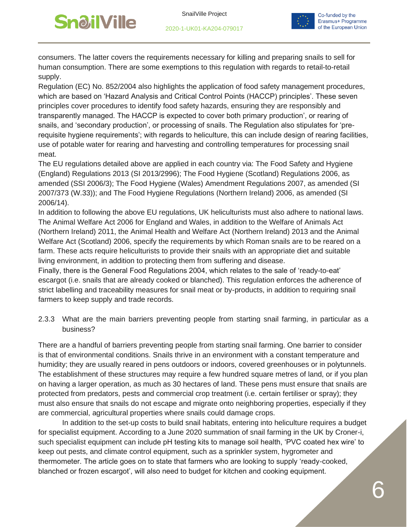



Co-funded by the Erasmus+ Programme of the European Union

consumers. The latter covers the requirements necessary for killing and preparing snails to sell for human consumption. There are some exemptions to this regulation with regards to retail-to-retail supply.

Regulation (EC) No. 852/2004 also highlights the application of food safety management procedures, which are based on 'Hazard Analysis and Critical Control Points (HACCP) principles'. These seven principles cover procedures to identify food safety hazards, ensuring they are responsibly and transparently managed. The HACCP is expected to cover both primary production', or rearing of snails, and 'secondary production', or processing of snails. The Regulation also stipulates for 'prerequisite hygiene requirements'; with regards to heliculture, this can include design of rearing facilities, use of potable water for rearing and harvesting and controlling temperatures for processing snail meat.

The EU regulations detailed above are applied in each country via: The Food Safety and Hygiene (England) Regulations 2013 (SI 2013/2996); The Food Hygiene (Scotland) Regulations 2006, as amended (SSI 2006/3); The Food Hygiene (Wales) Amendment Regulations 2007, as amended (SI 2007/373 (W.33)); and The Food Hygiene Regulations (Northern Ireland) 2006, as amended (SI 2006/14).

In addition to following the above EU regulations, UK heliculturists must also adhere to national laws. The Animal Welfare Act 2006 for England and Wales, in addition to the Welfare of Animals Act (Northern Ireland) 2011, the Animal Health and Welfare Act (Northern Ireland) 2013 and the Animal Welfare Act (Scotland) 2006, specify the requirements by which Roman snails are to be reared on a farm. These acts require heliculturists to provide their snails with an appropriate diet and suitable living environment, in addition to protecting them from suffering and disease.

Finally, there is the General Food Regulations 2004, which relates to the sale of 'ready-to-eat' escargot (i.e. snails that are already cooked or blanched). This regulation enforces the adherence of strict labelling and traceability measures for snail meat or by-products, in addition to requiring snail farmers to keep supply and trade records.

2.3.3 What are the main barriers preventing people from starting snail farming, in particular as a business?

There are a handful of barriers preventing people from starting snail farming. One barrier to consider is that of environmental conditions. Snails thrive in an environment with a constant temperature and humidity; they are usually reared in pens outdoors or indoors, covered greenhouses or in polytunnels. The establishment of these structures may require a few hundred square metres of land, or if you plan on having a larger operation, as much as 30 hectares of land. These pens must ensure that snails are protected from predators, pests and commercial crop treatment (i.e. certain fertiliser or spray); they must also ensure that snails do not escape and migrate onto neighboring properties, especially if they are commercial, agricultural properties where snails could damage crops.

In addition to the set-up costs to build snail habitats, entering into heliculture requires a budget for specialist equipment. According to a June 2020 summation of snail farming in the UK by Croner-i, such specialist equipment can include pH testing kits to manage soil health, 'PVC coated hex wire' to keep out pests, and climate control equipment, such as a sprinkler system, hygrometer and thermometer. The article goes on to state that farmers who are looking to supply 'ready-cooked, blanched or frozen escargot', will also need to budget for kitchen and cooking equipment.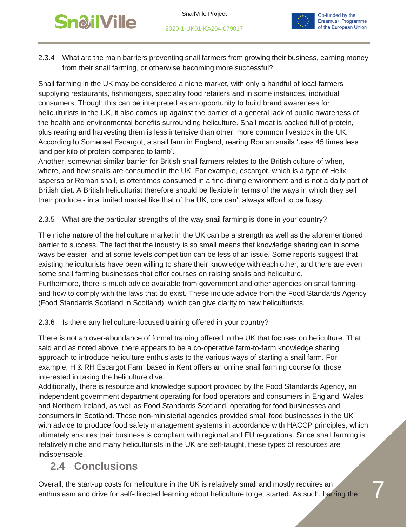# **SnailVille**

2020-1-UK01-KA204-079017



Co-funded by the Erasmus+ Programme of the European Union

7

2.3.4 What are the main barriers preventing snail farmers from growing their business, earning money from their snail farming, or otherwise becoming more successful?

Snail farming in the UK may be considered a niche market, with only a handful of local farmers supplying restaurants, fishmongers, speciality food retailers and in some instances, individual consumers. Though this can be interpreted as an opportunity to build brand awareness for heliculturists in the UK, it also comes up against the barrier of a general lack of public awareness of the health and environmental benefits surrounding heliculture. Snail meat is packed full of protein, plus rearing and harvesting them is less intensive than other, more common livestock in the UK. According to Somerset Escargot, a snail farm in England, rearing Roman snails 'uses 45 times less land per kilo of protein compared to lamb'.

Another, somewhat similar barrier for British snail farmers relates to the British culture of when, where, and how snails are consumed in the UK. For example, escargot, which is a type of Helix aspersa or Roman snail, is oftentimes consumed in a fine-dining environment and is not a daily part of British diet. A British heliculturist therefore should be flexible in terms of the ways in which they sell their produce - in a limited market like that of the UK, one can't always afford to be fussy.

#### 2.3.5 What are the particular strengths of the way snail farming is done in your country?

The niche nature of the heliculture market in the UK can be a strength as well as the aforementioned barrier to success. The fact that the industry is so small means that knowledge sharing can in some ways be easier, and at some levels competition can be less of an issue. Some reports suggest that existing heliculturists have been willing to share their knowledge with each other, and there are even some snail farming businesses that offer courses on raising snails and heliculture. Furthermore, there is much advice available from government and other agencies on snail farming

and how to comply with the laws that do exist. These include advice from the Food Standards Agency (Food Standards Scotland in Scotland), which can give clarity to new heliculturists.

### 2.3.6 Is there any heliculture-focused training offered in your country?

There is not an over-abundance of formal training offered in the UK that focuses on heliculture. That said and as noted above, there appears to be a co-operative farm-to-farm knowledge sharing approach to introduce heliculture enthusiasts to the various ways of starting a snail farm. For example, H & RH Escargot Farm based in Kent offers an online snail farming course for those interested in taking the heliculture dive.

Additionally, there is resource and knowledge support provided by the Food Standards Agency, an independent government department operating for food operators and consumers in England, Wales and Northern Ireland, as well as Food Standards Scotland, operating for food businesses and consumers in Scotland. These non-ministerial agencies provided small food businesses in the UK with advice to produce food safety management systems in accordance with HACCP principles, which ultimately ensures their business is compliant with regional and EU regulations. Since snail farming is relatively niche and many heliculturists in the UK are self-taught, these types of resources are indispensable.

### <span id="page-6-0"></span>**2.4 Conclusions**

Overall, the start-up costs for heliculture in the UK is relatively small and mostly requires an enthusiasm and drive for self-directed learning about heliculture to get started. As such, barring the